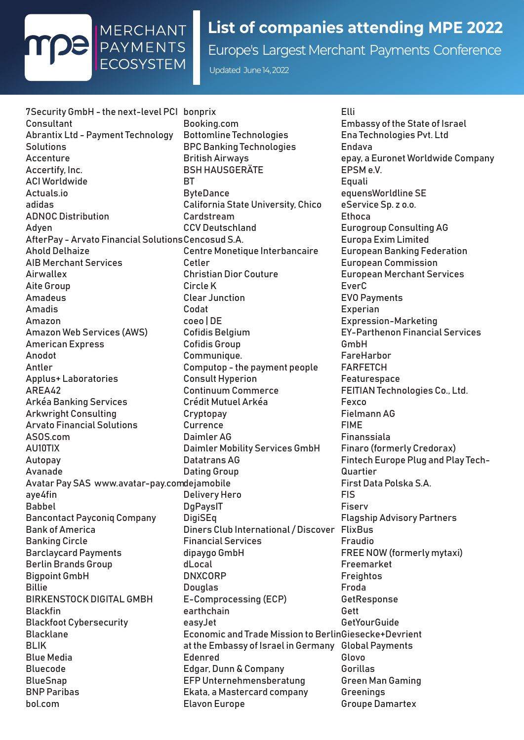

## **List of companies attending MPE 2022**

Europe's Largest Merchant Payments Conference

Updated June 14, 2022

7Security GmbH - the next-level PCI bonprix **Consultant** Abrantix Ltd - Payment Technology **Solutions** Accenture Accertify, Inc. ACI Worldwide Actuals.io adidas ADNOC Distribution Adyen AfterPay - Arvato Financial Solutions Cencosud S.A. Ahold Delhaize AIB Merchant Services Airwallex Aite Group Amadeus Amadis Amazon Amazon Web Services (AWS) American Express Anodot Antler Applus+ Laboratories AREA42 Arkéa Banking Services Arkwright Consulting Arvato Financial Solutions ASOS.com AU10TIX Autopay Avanade Avatar Pay SAS www.avatar-pay.com dejamobile aye4fin Babbel Bancontact Payconiq Company Bank of America Banking Circle Barclaycard Payments Berlin Brands Group Bigpoint GmbH Billie BIRKENSTOCK DIGITAL GMBH Blackfin Blackfoot Cybersecurity **Blacklane** BLIK Blue Media Bluecode BlueSnap BNP Paribas bol.com

Booking.com Bottomline Technologies BPC Banking Technologies British Airways BSH HAUSGERÄTE **RT ByteDance** California State University, Chico Cardstream CCV Deutschland Centre Monetique Interbancaire Cetler Christian Dior Couture Circle K Clear Junction Codat coeo | DE Cofidis Belgium Cofidis Group Communique. Computop - the payment people Consult Hyperion Continuum Commerce Crédit Mutuel Arkéa **Cryptopay Currence** Daimler AG Daimler Mobility Services GmbH Datatrans AG Dating Group Delivery Hero **DgPaysIT DigiSEq** Diners Club International / Discover FlixBus Financial Services dipaygo GmbH dLocal DNXCORP **Douglas** E-Comprocessing (ECP) earthchain easyJet Economic and Trade Mission to BerlinGiesecke+Devrient at the Embassy of Israel in Germany Global Payments Edenred Edgar, Dunn & Company EFP Unternehmensberatung Ekata, a Mastercard company Elavon Europe

Elli Embassy of the State of Israel Ena Technologies Pvt. Ltd Endava epay, a Euronet Worldwide Company EPSM e.V. Equali equensWorldline SE eService Sp. z o.o. **Ethoca** Eurogroup Consulting AG Europa Exim Limited European Banking Federation European Commission European Merchant Services EverC EVO Payments **Experian** Expression-Marketing EY-Parthenon Financial Services GmbH FareHarbor FARFETCH Featurespace FEITIAN Technologies Co., Ltd. Fexco Fielmann AG FIME Finanssiala Finaro (formerly Credorax) Fintech Europe Plug and Play Tech-Quartier First Data Polska S.A. FIS Fiserv Flagship Advisory Partners Fraudio FREE NOW (formerly mytaxi) Freemarket Freightos Froda **GetResponse** Gett **GetYourGuide** Glovo Gorillas Green Man Gaming **Greenings** Groupe Damartex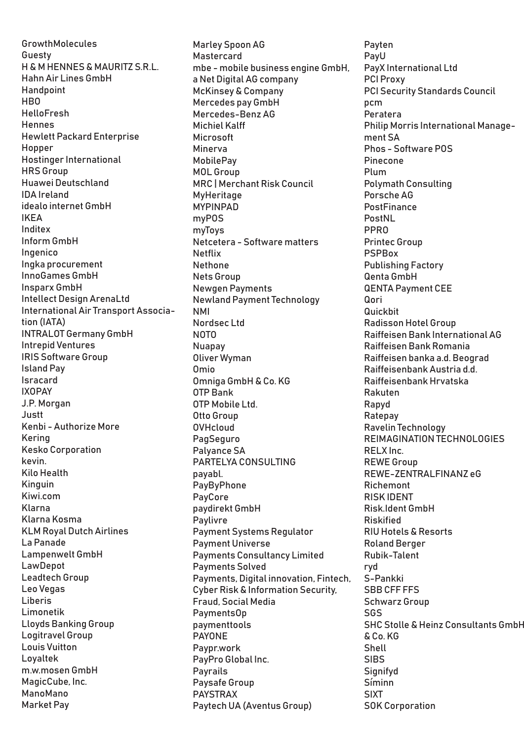GrowthMolecules Guesty H & M HENNES & MAURITZ S.R.L. Hahn Air Lines GmbH **Handpoint HRO** HelloFresh **Hennes** Hewlett Packard Enterprise Hopper Hostinger International HRS Group Huawei Deutschland IDA Ireland idealo internet GmbH IKEA Inditex Inform GmbH Ingenico Ingka procurement InnoGames GmbH Insparx GmbH Intellect Design ArenaLtd International Air Transport Association (IATA) INTRALOT Germany GmbH Intrepid Ventures IRIS Software Group Island Pay Isracard IXOPAY J.P. Morgan Justt Kenbi - Authorize More Kering Kesko Corporation kevin. Kilo Health Kinguin Kiwi.com Klarna Klarna Kosma KLM Royal Dutch Airlines La Panade Lampenwelt GmbH LawDepot Leadtech Group Leo Vegas Liberis Limonetik Lloyds Banking Group Logitravel Group Louis Vuitton Loyaltek m.w.mosen GmbH MagicCube, Inc. ManoMano Market Pay

Marley Spoon AG Mastercard mbe - mobile business engine GmbH, a Net Digital AG company McKinsey & Company Mercedes pay GmbH Mercedes-Benz AG Michiel Kalff Microsoft Minerva MobilePay MOL Group MRC | Merchant Risk Council MyHeritage MYPINPAD myPOS myToys Netcetera - Software matters Netflix **Nethone** Nets Group Newgen Payments Newland Payment Technology NMI Nordsec Ltd **NOTO** Nuapay Oliver Wyman Omio Omniga GmbH & Co. KG OTP Bank OTP Mobile Ltd. Otto Group OVHcloud **PagSeguro** Palyance SA PARTELYA CONSULTING payabl. **PayByPhone** PayCore paydirekt GmbH Paylivre Payment Systems Regulator Payment Universe Payments Consultancy Limited Payments Solved Payments, Digital innovation, Fintech, Cyber Risk & Information Security, Fraud, Social Media PaymentsOp paymenttools PAYONE Paypr.work PayPro Global Inc. **Payrails** Paysafe Group PAYSTRAX Paytech UA (Aventus Group)

Payten PayU PayX International Ltd PCI Proxy PCI Security Standards Council pcm Peratera Philip Morris International Management SA Phos - Software POS Pinecone Plum Polymath Consulting Porsche AG **PostFinance** PostNL PPRO Printec Group PSPBox Publishing Factory Qenta GmbH QENTA Payment CEE Qori Quickbit Radisson Hotel Group Raiffeisen Bank International AG Raiffeisen Bank Romania Raiffeisen banka a.d. Beograd Raiffeisenbank Austria d.d. Raiffeisenbank Hrvatska Rakuten Rapyd Ratepay Ravelin Technology REIMAGINATION TECHNOLOGIES RELX Inc. REWE Group REWE-ZENTRALFINANZ eG Richemont RISK IDENT Risk.Ident GmbH Riskified RIU Hotels & Resorts Roland Berger Rubik-Talent ryd S-Pankki SBB CFF FFS Schwarz Group SGS SHC Stolle & Heinz Consultants GmbH & Co. KG Shell **SIBS Signifyd** Síminn SIXT SOK Corporation